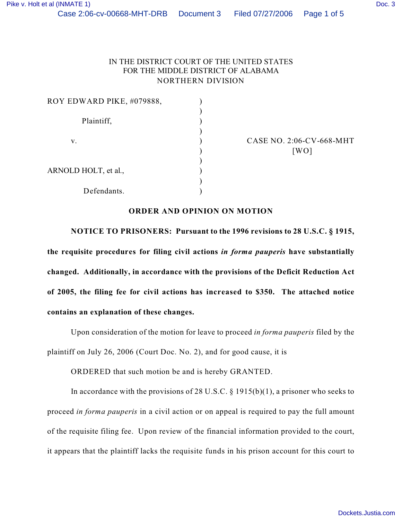| ROY EDWARD PIKE, #079888, |  |
|---------------------------|--|
| Plaintiff,                |  |
| v.                        |  |
|                           |  |
| ARNOLD HOLT, et al.,      |  |
| Defendants.               |  |

CASE NO. 2:06-CV-668-MHT  $[WO]$ 

## **ORDER AND OPINION ON MOTION**

**NOTICE TO PRISONERS: Pursuant to the 1996 revisions to 28 U.S.C. § 1915, the requisite procedures for filing civil actions** *in forma pauperis* **have substantially changed. Additionally, in accordance with the provisions of the Deficit Reduction Act of 2005, the filing fee for civil actions has increased to \$350. The attached notice contains an explanation of these changes.**

Upon consideration of the motion for leave to proceed *in forma pauperis* filed by the plaintiff on July 26, 2006 (Court Doc. No. 2), and for good cause, it is

ORDERED that such motion be and is hereby GRANTED.

In accordance with the provisions of 28 U.S.C.  $\S$  1915(b)(1), a prisoner who seeks to proceed *in forma pauperis* in a civil action or on appeal is required to pay the full amount of the requisite filing fee. Upon review of the financial information provided to the court, it appears that the plaintiff lacks the requisite funds in his prison account for this court to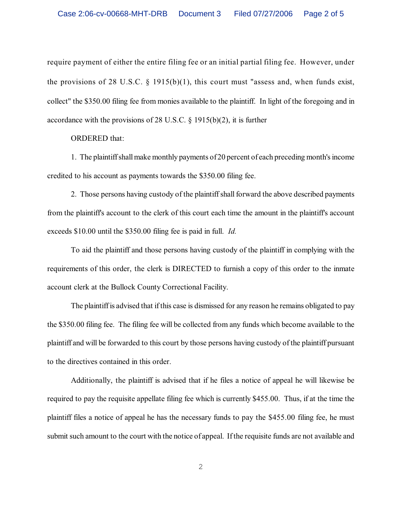require payment of either the entire filing fee or an initial partial filing fee. However, under the provisions of 28 U.S.C.  $\S$  1915(b)(1), this court must "assess and, when funds exist, collect" the \$350.00 filing fee from monies available to the plaintiff. In light of the foregoing and in accordance with the provisions of 28 U.S.C. § 1915(b)(2), it is further

ORDERED that:

1. The plaintiff shall make monthly payments of 20 percent of each preceding month's income credited to his account as payments towards the \$350.00 filing fee.

2. Those persons having custody of the plaintiffshall forward the above described payments from the plaintiff's account to the clerk of this court each time the amount in the plaintiff's account exceeds \$10.00 until the \$350.00 filing fee is paid in full. *Id.* 

To aid the plaintiff and those persons having custody of the plaintiff in complying with the requirements of this order, the clerk is DIRECTED to furnish a copy of this order to the inmate account clerk at the Bullock County Correctional Facility.

The plaintiff is advised that if this case is dismissed for any reason he remains obligated to pay the \$350.00 filing fee. The filing fee will be collected from any funds which become available to the plaintiff and will be forwarded to this court by those persons having custody of the plaintiff pursuant to the directives contained in this order.

Additionally, the plaintiff is advised that if he files a notice of appeal he will likewise be required to pay the requisite appellate filing fee which is currently \$455.00. Thus, if at the time the plaintiff files a notice of appeal he has the necessary funds to pay the \$455.00 filing fee, he must submit such amount to the court with the notice of appeal. Ifthe requisite funds are not available and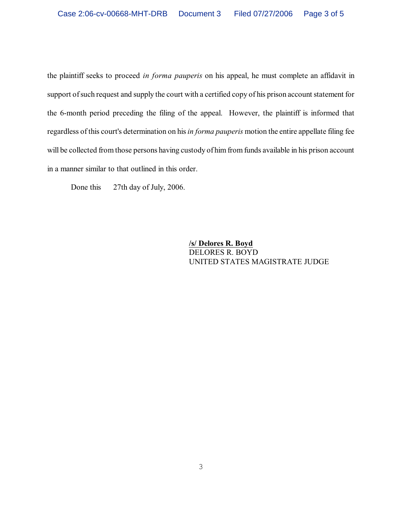the plaintiff seeks to proceed *in forma pauperis* on his appeal, he must complete an affidavit in support of such request and supply the court with a certified copy of his prison account statement for the 6-month period preceding the filing of the appeal. However, the plaintiff is informed that regardless of this court's determination on his *in forma pauperis* motion the entire appellate filing fee will be collected from those persons having custody of him from funds available in his prison account in a manner similar to that outlined in this order.

Done this 27th day of July, 2006.

**/s/ Delores R. Boyd** DELORES R. BOYD UNITED STATES MAGISTRATE JUDGE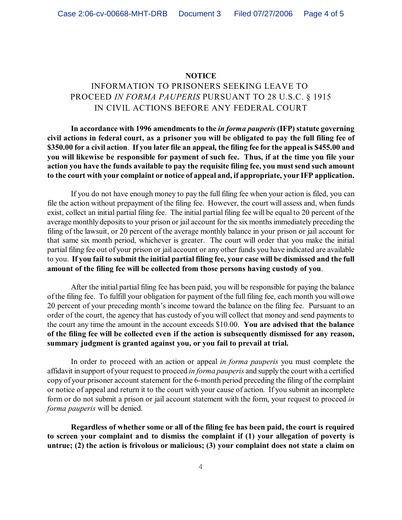## **NOTICE**

## INFORMATION TO PRISONERS SEEKING LEAVE TO PROCEED *IN FORMA PAUPERIS* PURSUANT TO 28 U.S.C. § 1915 IN CIVIL ACTIONS BEFORE ANY FEDERAL COURT

**In accordance with 1996 amendments to the** *in forma pauperis* **(IFP) statute governing civil actions in federal court, as a prisoner you will be obligated to pay the full filing fee of \$350.00 for a civil action**. **If you later file an appeal, the filing fee for the appeal is \$455.00 and you will likewise be responsible for payment of such fee. Thus, if at the time you file your action you have the funds available to pay the requisite filing fee, you must send such amount to the court with your complaint or notice of appeal and, if appropriate, your IFP application.**

If you do not have enough money to pay the full filing fee when your action is filed, you can file the action without prepayment of the filing fee. However, the court will assess and, when funds exist, collect an initial partial filing fee. The initial partial filing fee will be equal to 20 percent of the average monthly deposits to your prison or jail account for the six months immediately preceding the filing of the lawsuit, or 20 percent of the average monthly balance in your prison or jail account for that same six month period, whichever is greater. The court will order that you make the initial partial filing fee out of your prison or jail account or any other funds you have indicated are available to you. **If you fail to submit the initial partial filing fee, your case will be dismissed and the full amount of the filing fee will be collected from those persons having custody of you**.

After the initial partial filing fee has been paid, you will be responsible for paying the balance of the filing fee. To fulfill your obligation for payment of the full filing fee, each month you will owe 20 percent of your preceding month's income toward the balance on the filing fee. Pursuant to an order of the court, the agency that has custody of you will collect that money and send payments to the court any time the amount in the account exceeds \$10.00. **You are advised that the balance of the filing fee will be collected even if the action is subsequently dismissed for any reason, summary judgment is granted against you, or you fail to prevail at trial.** 

In order to proceed with an action or appeal *in forma pauperis* you must complete the affidavit in support of your request to proceed *in forma pauperis* and supply the court with a certified copy of your prisoner account statement for the 6-month period preceding the filing of the complaint or notice of appeal and return it to the court with your cause of action. If you submit an incomplete form or do not submit a prison or jail account statement with the form, your request to proceed *in forma pauperis* will be denied.

**Regardless of whether some or all of the filing fee has been paid, the court is required to screen your complaint and to dismiss the complaint if (1) your allegation of poverty is untrue; (2) the action is frivolous or malicious; (3) your complaint does not state a claim on**